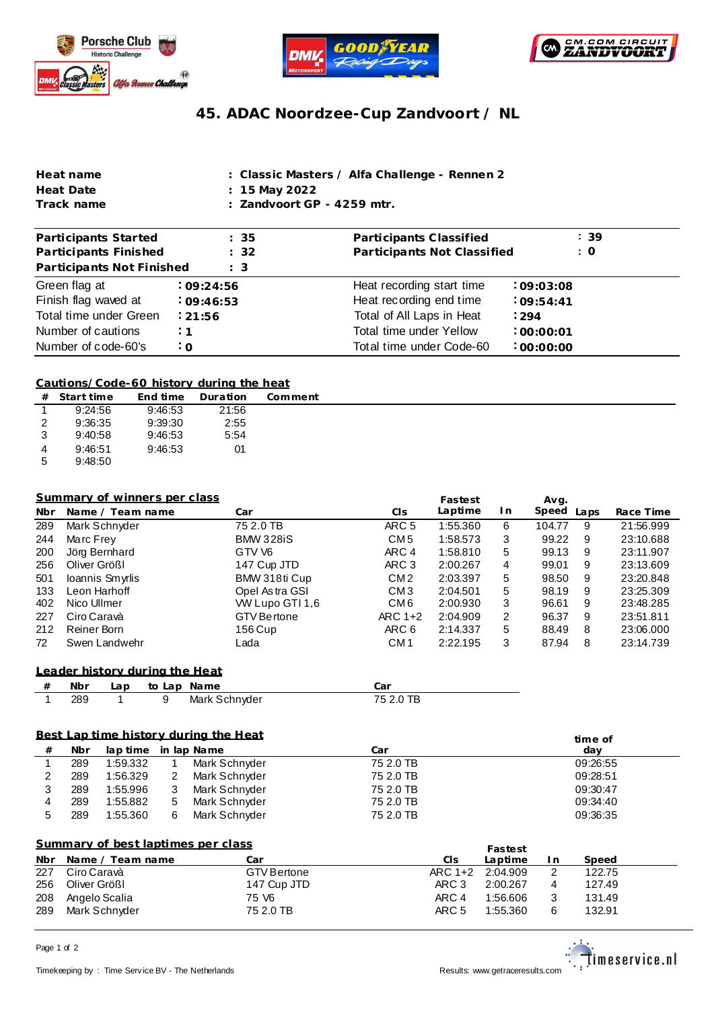





## **45. ADAC Noordzee-Cup Zandvoort / NL**

| Heat name  | : Classic Masters / Alfa Challenge - Rennen 2 |
|------------|-----------------------------------------------|
| Heat Date  | : 15 May 2022                                 |
| Track name | $\therefore$ Zandvoort GP - 4259 mtr.         |

| Participants Started      | : 35           | Participants Classified     | : 39      |
|---------------------------|----------------|-----------------------------|-----------|
| Participants Finished     | : 32           | Participants Not Classified | : 0       |
| Participants Not Finished | $\therefore$ 3 |                             |           |
| Green flag at             | :09:24:56      | Heat recording start time   | .09:03:08 |
| Finish flag waved at      | 109:46:53      | Heat recording end time     | :09:54:41 |
| Total time under Green    | : 21:56        | Total of All Laps in Heat   | .294      |
| Number of cautions        | : 1            | Total time under Yellow     | :00:00:01 |
| Number of code-60's       | $\cdot$ O      | Total time under Code-60    | :00:00:00 |

## **Cautions/Code-60 history during the heat**

| # | Start time | End time | Duration | Comment |
|---|------------|----------|----------|---------|
|   | 9:24:56    | 9:46:53  | 21:56    |         |
| 2 | 9:36:35    | 9:39:30  | 2:55     |         |
| 3 | 9:40:58    | 9:46:53  | 5:54     |         |
| 4 | 9:46:51    | 9:46:53  | 01       |         |
| 5 | 9:48:50    |          |          |         |

## **Summary of winners per class**

|                                                  |              | <b>Summary of winners per class</b>   |             |                    |                  | Fastest  |     | Avg.   |          |           |
|--------------------------------------------------|--------------|---------------------------------------|-------------|--------------------|------------------|----------|-----|--------|----------|-----------|
| Nbr                                              |              | Name / Team name                      |             | Car                | CIS              | Laptime  | I n | Speed  | Laps     | Race Time |
| 289                                              |              | Mark Schnyder                         |             | 75 2.0 TB          | ARC 5            | 1:55.360 | 6   | 104.77 | 9        | 21:56.999 |
| 244                                              | Marc Frey    |                                       |             | <b>BMW 328iS</b>   | CM <sub>5</sub>  | 1:58.573 | 3   | 99.22  | 9        | 23:10.688 |
| 200                                              |              | Jörg Bernhard                         |             | GTV V <sub>6</sub> | ARC <sub>4</sub> | 1:58.810 | 5   | 99.13  | 9        | 23:11.907 |
| 256                                              | Oliver Größl |                                       |             | 147 Cup JTD        | ARC 3            | 2:00.267 | 4   | 99.01  | 9        | 23:13.609 |
| 501                                              |              | Ioannis Smyrlis                       |             | BMW 318ti Cup      | CM <sub>2</sub>  | 2:03.397 | 5   | 98.50  | 9        | 23:20.848 |
| 133                                              |              | Leon Harhoff                          |             | Opel Astra GSI     | CM <sub>3</sub>  | 2:04.501 | 5   | 98.19  | 9        | 23:25.309 |
| 402                                              | Nico Ullmer  |                                       |             | WV Lupo GTI 1,6    | CM <sub>6</sub>  | 2:00.930 | 3   | 96.61  | 9        | 23:48.285 |
| 227                                              | Ciro Caravà  |                                       |             | <b>GTV</b> Bertone | ARC 1+2          | 2:04.909 | 2   | 96.37  | 9        | 23:51.811 |
| 212                                              | Reiner Born  |                                       |             | 156 Cup            | ARC 6            | 2:14.337 | 5   | 88.49  | 8        | 23:06.000 |
| 72                                               |              | Swen Landwehr                         |             | Lada               | CM <sub>1</sub>  | 2:22.195 | 3   | 87.94  | 8        | 23:14.739 |
|                                                  |              | <b>Leader history during the Heat</b> |             |                    |                  |          |     |        |          |           |
| #                                                | Nbr          | Lap                                   | to Lap Name |                    | Car              |          |     |        |          |           |
| 1                                                | 289          |                                       | 9           | Mark Schnyder      | 75 2.0 TB        |          |     |        |          |           |
| Best Lap time history during the Heat<br>time of |              |                                       |             |                    |                  |          |     |        |          |           |
| #                                                | Nbr          | lap time                              |             | in lap Name        | Car              |          |     |        | day      |           |
| 1                                                | 289          | 1:59.332                              |             | Mark Schnyder      | 75 2.0 TB        |          |     |        | 09:26:55 |           |

| 289 | 1:59.332 |   | Mark Schnyder | 75 2.0 TB | 09:26:55 |
|-----|----------|---|---------------|-----------|----------|
| 289 | 1:56.329 |   | Mark Schnyder | 75 2.0 TB | 09:28:51 |
| 289 | 1:55.996 |   | Mark Schnyder | 75 2.0 TB | 09:30:47 |
| 289 | 1:55.882 | 5 | Mark Schnyder | 75 2.0 TB | 09:34:40 |
| 289 | 1:55.360 | 6 | Mark Schnyder | 75 2.0 TB | 09:36:35 |